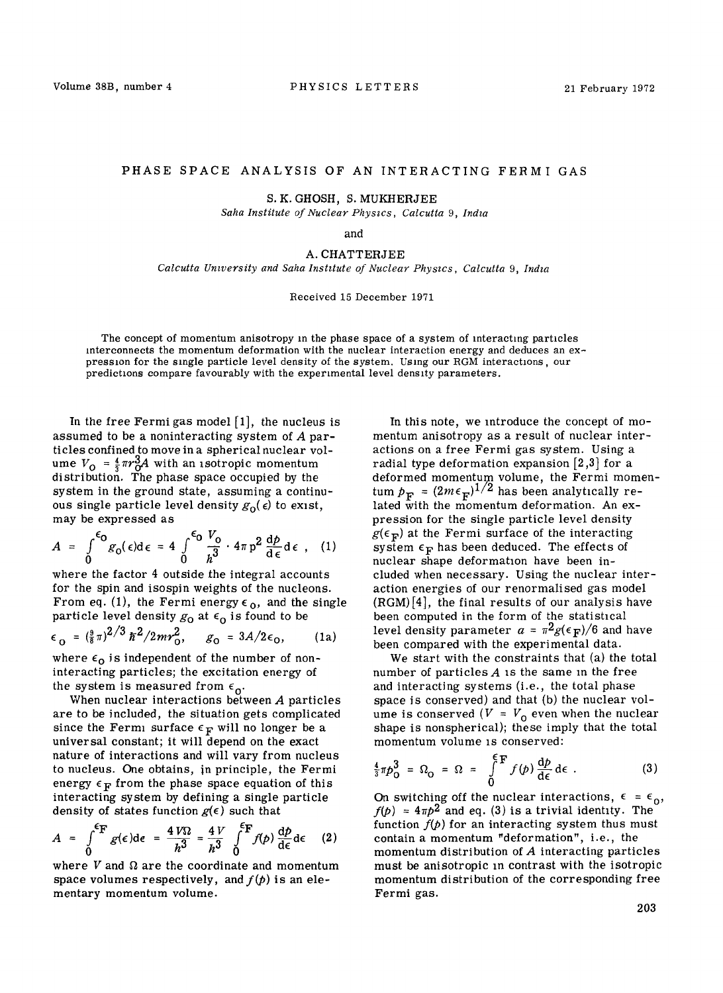## PHASE SPACE ANALYSIS OF AN INTERACTING FERMI GAS

S. K. GHOSH, S. MUKHERJEE

Saha Institute of Nuclear Physics, Calcutta 9, India

and

## A. CHATTERJEE

Calcutta University and Saha Institute of Nuclear Physics, Calcutta 9, India

Received 15 December 1971

The concept of momentum anisotropy in the phase space of a system of interacting particles interconnects the momentum deformation with the nuclear interaction energy and deduces an expression for the single particle level density of the system. Using our RGM interactions, our predictions compare favourably with the experimental level density parameters.

In the free Fermi gas model  $[1]$ , the nucleus is assumed to be a noninteracting system of A particles confined to move in a spherical nuclear volume  $V_0 = \frac{4}{3} \pi r_0^3 A$  with an isotropic momentum distribution. The phase space occupied by the system in the ground state, assuming a continuous single particle level density  $g_0(\epsilon)$  to exist, may be expressed as

$$
A = \int_{0}^{\epsilon_0} g_0(\epsilon) d\epsilon = 4 \int_{0}^{\epsilon_0} \frac{V_0}{h^3} \cdot 4\pi p^2 \frac{dp}{d\epsilon} d\epsilon , \quad (1)
$$

where the factor 4 outside the integral accounts for the spin and isospin weights of the nucleons. From eq. (1), the Fermi energy  $\epsilon_0$ , and the single particle level density  $g_0$  at  $\epsilon_0$  is found to be

$$
\epsilon_0 = (\frac{9}{8}\pi)^{2/3} \hbar^2 / 2mr_0^2, \quad g_0 = 3A/2\epsilon_0, \quad (1a)
$$

where  $\epsilon_0$  is independent of the number of noninteracting particles; the excitation energy of the system is measured from  $\epsilon_{0}$ .

When nuclear interactions between A particles are to be included, the situation gets complicated since the Fermi surface  $\epsilon_F$  will no longer be a universal constant; it will depend on the exact nature of interactions and will vary from nucleus to nucleus. One obtains, in principle, the Fermi energy  $\epsilon_F$  from the phase space equation of this interacting system by defining a single particle density of states function  $g(\epsilon)$  such that

$$
A = \int_{0}^{\epsilon_{\mathbf{F}}} g(\epsilon) d\epsilon = \frac{4 V \Omega}{h^3} = \frac{4 V}{h^3} \int_{0}^{\epsilon_{\mathbf{F}}} f(p) \frac{dp}{d\epsilon} d\epsilon \qquad (2)
$$

where  $V$  and  $\Omega$  are the coordinate and momentum space volumes respectively, and  $f(p)$  is an elementary momentum volume.

In this note, we introduce the concept of momentum anisotropy as a result of nuclear interactions on a free Fermi gas system. Using a radial type deformation expansion [2,3] for a deformed momentum volume, the Fermi momentum  $p_{\bf F} = (2m\epsilon_{\bf F})^{1/2}$  has been analytically related with the momentum deformation. An expression for the single particle level density  $g(\epsilon_F)$  at the Fermi surface of the interacting system  $\epsilon_F$  has been deduced. The effects of nuclear shape deformation have been included when necessary. Using the nuclear interaction energies of our renormalised gas model (RGM)[4], the final results of our analysis have been computed in the form of the statishcal level density parameter  $a = \pi^2 g(\epsilon_F)/6$  and have been compared with the experimental data.

We start with the constraints that (a) the total number of particles  $A$  is the same in the free and interacting systems (i.e., the total phase space is conserved) and that (b) the nuclear volume is conserved ( $V = V_0$  even when the nuclear shape is nonspherical); these imply that the total momentum volume is conserved:

$$
\frac{4}{3}\pi p_0^3 = \Omega_0 = \Omega = \int_0^{\epsilon} \mathbf{F} f(\rho) \frac{d\rho}{d\epsilon} d\epsilon \tag{3}
$$

On switching off the nuclear interactions,  $\epsilon = \epsilon_0$ ,  $f(p) = 4\pi p^2$  and eq. (3) is a trivial identity. The function  $f(p)$  for an interacting system thus must contain a momentum "deformation", i.e., the momentum distribution of A interacting particles must be anisotropic in contrast with the isotropic momentum distribution of the corresponding free Fermi gas.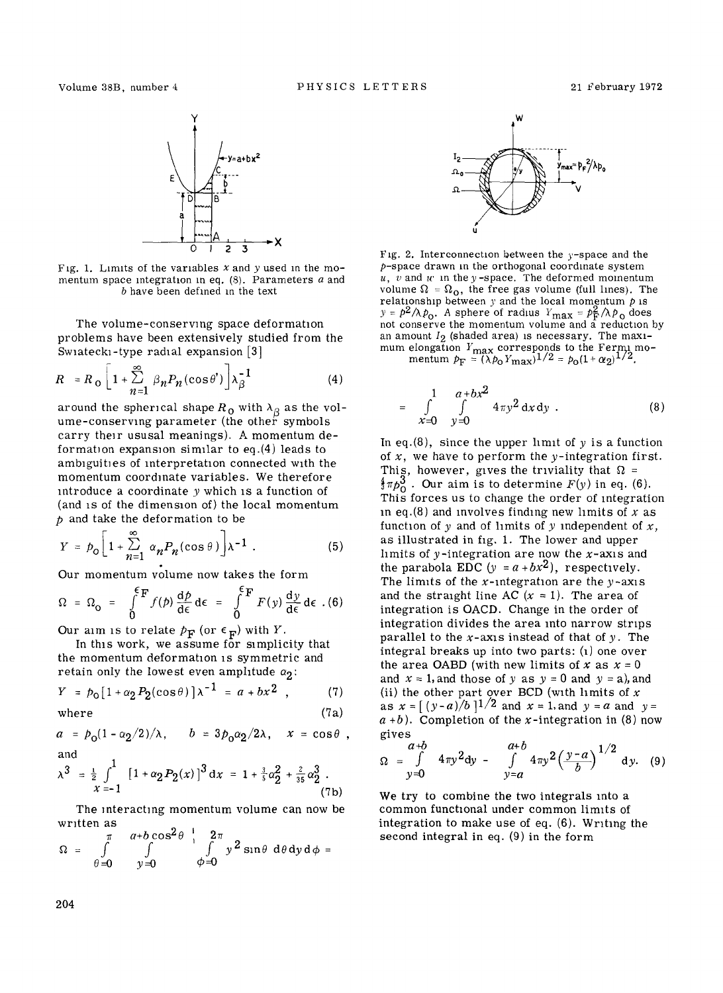

Fig. 1. Limits of the variables  $x$  and  $y$  used in the momentum space integration in eq.  $(8)$ . Parameters  $a$  and b have been defined m the text

The volume-conserving space deformation problems have been extensively studied from the Swiatecki-type radial expansion [3]

$$
R = R_{\text{o}} \left[ 1 + \sum_{n=1}^{\infty} \beta_n P_n(\cos \theta') \right] \lambda_{\beta}^{-1} \tag{4}
$$

around the spherical shape  $R_{\rm O}$  with  $\lambda_{\rm B}$  as the volume-conserving parameter (the other symbols carry their ususal meanings). A momentum deformation expansion similar to eq.(4) leads to ambiguities of interpretation connected with the momentum coordinate variables. We therefore introduce a coordinate  $y$  which is a function of (and is of the dimension of) the local momentum  $p$  and take the deformation to be

$$
Y = p_0 \left[ 1 + \sum_{n=1}^{\infty} \alpha_n P_n(\cos \theta) \right] \lambda^{-1} . \tag{5}
$$

Our momentum volume now takes the form

$$
\Omega = \Omega_{\text{O}} = \int_{0}^{\xi_{\text{F}}} f(p) \frac{dp}{d\epsilon} d\epsilon = \int_{0}^{\xi_{\text{F}}} F(y) \frac{dy}{d\epsilon} d\epsilon . (6)
$$

Our aim is to relate  $p_F$  (or  $\epsilon_F$ ) with Y.

In this work, we assume for simplicity that the momentum deformation is symmetric and retain only the lowest even amplitude  $\alpha_2$ :

$$
Y = p_0 [1 + \alpha_2 P_2(\cos \theta)] \lambda^{-1} = a + bx^2 , \qquad (7)
$$

where  $(7a)$ 

$$
a = p_0(1 - \alpha_2/2)/\lambda
$$
,  $b = 3p_0\alpha_2/2\lambda$ ,  $x = \cos\theta$ ,  
and

$$
\lambda^3 = \frac{1}{z} \int_{x=-1}^{1} \left[1 + \alpha_2 P_2(x)\right]^3 dx = 1 + \frac{3}{5} \alpha_2^2 + \frac{2}{35} \alpha_2^3 \tag{7b}
$$

The interacting momentum volume can now be wmtten as

$$
\Omega = \int_{\theta=0}^{\pi} \int_{y=0}^{a+b \cos^2 \theta} \int_{\phi=0}^{1} \int_{y^2 \sin \theta}^{2\pi} d\theta dy d\phi =
$$



Fig. 2. Interconnection between the  $y$ -space and the  $p$ -space drawn in the orthogonal coordinate system  $u, v$  and  $w$  in the y-space. The deformed momentum volume  $\Omega = \Omega_0$ , the free gas volume (full lines). The relationship between  $y$  and the local momentum  $p$  is  $y = p^2/\lambda p_o$ . A sphere of radius  $Y_{\text{max}} = p_{\text{F}}^2/\lambda p_o$  does not conserve the momentum volume and a reduction by an amount  $I_2$  (shaded area) is necessary. The maximum elongation  $\emph{Y}_{\text{max}}$  corresponds to the Fermi mo-

mentum  $p_F = (\lambda p_0 Y_{\text{max}})^{1/2} = p_0 (1 + \alpha_2)^{1/2}$ .

$$
= \int_{x=0}^{1} \int_{y=0}^{a+bx^2} 4\pi y^2 dx dy . \qquad (8)
$$

In eq.(8), since the upper limit of  $y$  is a function of  $x$ , we have to perform the  $y$ -integration first. This, however, gives the triviality that  $\Omega =$  $\frac{4}{3}\pi p_0^3$ . Our aim is to determine  $F(y)$  in eq. (6). This forces us to change the order of integration in eq.(8) and involves finding new limits of x as function of y and of limits of y independent of  $x$ , as illustrated in fig. 1. The lower and upper limits of  $y$ -integration are now the  $x$ -axis and the parabola EDC  $(y = a + bx^2)$ , respectively. The limits of the x-integration are the  $y$ -axis and the straight line AC  $(x = 1)$ . The area of integration is OACD. Change in the order of integration divides the area into narrow strips parallel to the  $x$ -axis instead of that of  $y$ . The integral breaks up into two parts: (l) one over the area OABD (with new limits of x as  $x = 0$ and  $x = 1$ , and those of y as  $y = 0$  and  $y = a$ ), and (ii) the other part over BCD (with limits of  $x$ as  $x = (y-a)/b$  1/2 and  $x = 1$ , and  $y = a$  and  $y = a$  $a + b$ ). Completion of the x-integration in (8) now gives

$$
\Omega = \int_{y=0}^{a+b} 4\pi y^2 dy - \int_{y=a}^{a+b} 4\pi y^2 \left(\frac{y-a}{b}\right)^{1/2} dy. \quad (9)
$$

We try to combine the two integrals into a common functional under common limits of integration to make use of eq. (6). Writing the second integral in eq. (9) in the form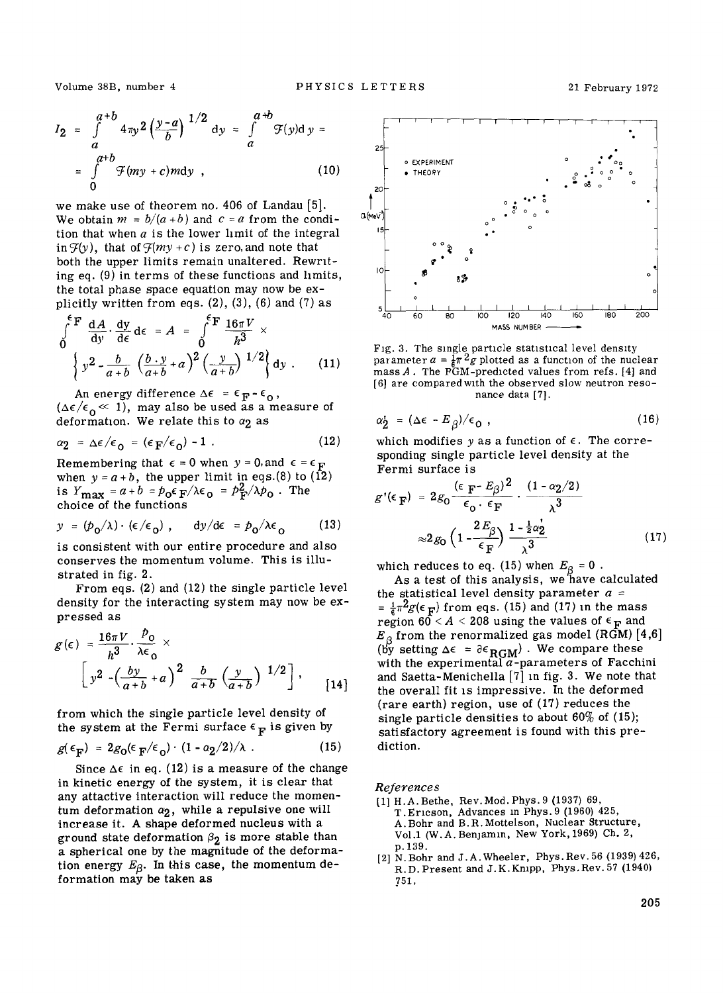$$
I_2 = \int_{a}^{a+b} 4\pi y^2 \left(\frac{y-a}{b}\right)^{1/2} dy = \int_{a}^{a+b} \mathcal{F}(y) dy =
$$
  
= 
$$
\int_{0}^{a+b} \mathcal{F}(my+c) m dy
$$
, (10)

we make use of theorem no. 406 of Landau [5]. We obtain  $m = b/(a+b)$  and  $c = a$  from the condition that when  $a$  is the lower limit of the integral in  $\mathcal{F}(y)$ , that of  $\mathcal{F}(my + c)$  is zero, and note that both the upper limits remain unaltered. Rewmting eq. (9) in terms of these functions and hmits, the total phase space equation may now be explicitly written from eqs.  $(2)$ ,  $(3)$ ,  $(6)$  and  $(7)$  as

$$
\int_{0}^{\epsilon_{\mathbf{F}}} \frac{dA}{dy} \cdot \frac{dy}{d\epsilon} d\epsilon = A = \int_{0}^{\epsilon_{\mathbf{F}}} \frac{16\pi V}{h^{3}} \times \left\{ y^{2} - \frac{b}{a+b} \left( \frac{b \cdot y}{a+b} + a \right)^{2} \left( \frac{y}{a+b} \right)^{1/2} \right\} dy . \tag{11}
$$

An energy difference  $\Delta \epsilon = \epsilon_F - \epsilon_0$ ,  $(\Delta \epsilon / \epsilon_0 \ll 1)$ , may also be used as a measure of deformation. We relate this to  $\alpha_2$  as

$$
\alpha_2 = \Delta \epsilon / \epsilon_0 = (\epsilon_\mathbf{F} / \epsilon_0) - 1 \tag{12}
$$

Remembering that  $\epsilon = 0$  when  $y = 0$ , and  $\epsilon = \epsilon_F$ when  $y = a + b$ , the upper limit in eqs.(8) to (12) is  $Y_{\text{max}} = a + b = p_0 \epsilon_F / \lambda \epsilon_0 = p_F^2 / \lambda p_0$ . The choice of the functions

$$
y = (p_0/\lambda) \cdot (\epsilon/\epsilon_0), \quad dy/d\epsilon = p_0/\lambda \epsilon_0 \qquad (13)
$$

is consistent with our entire procedure and also conserves the momentum volume. This is illustrated in fig. 2.

From eqs. (2) and (12) the single particle level density for the interacting system may now be expressed as

$$
g(\epsilon) = \frac{16\pi V}{h^3} \cdot \frac{P_0}{\lambda \epsilon_0} \times \left[ y^2 - \left( \frac{by}{a+b} + a \right)^2 \frac{b}{a+b} \left( \frac{y}{a+b} \right)^{1/2} \right], \quad [14]
$$

from which the single particle level density of the system at the Fermi surface  $\epsilon_{\mathbf{F}}$  is given by

$$
g(\epsilon_{\mathbf{F}}) = 2g_0(\epsilon_{\mathbf{F}}/\epsilon_0) \cdot (1 - \alpha_2/2)/\lambda \tag{15}
$$

Since  $\Delta \epsilon$  in eq. (12) is a measure of the change in kinetic energy of the system, it is clear that any attactive interaction will reduce the momentum deformation  $\alpha_2$ , while a repulsive one will increase it. A shape deformed nucleus with a ground state deformation  $\beta_2$  is more stable than a spherical one by the magnitude of the deformation energy  $E_\beta$ . In this case, the momentum deformation may be taken as



Fig. 3. The single particle statistical level density parameter  $a = \frac{1}{6}\pi^2 g$  plotted as a function of the nuclear  $mass A$ . The PGM-predicted values from refs. [4] and [6] are compared with the observed slow neutron resonance data [7].

$$
\alpha_{2}^{\prime} = (\Delta \epsilon - E_{\beta})/\epsilon_{0} , \qquad (16)
$$

which modifies y as a function of  $\epsilon$ . The corresponding single particle level density at the Fermi surface is

$$
g'(\epsilon_{\mathbf{F}}) = 2g_0 \frac{(\epsilon_{\mathbf{F}} - E_\beta)^2}{\epsilon_0 \cdot \epsilon_{\mathbf{F}}} \cdot \frac{(1 - \alpha_2/2)}{\lambda^3}
$$

$$
\approx 2g_0 \left(1 - \frac{2E_\beta}{\epsilon_{\mathbf{F}}}\right) \frac{1 - \frac{1}{2}\alpha_2^2}{\lambda^3}
$$
(17)

which reduces to eq. (15) when  $E_{\beta}$  = 0 .

As a test of this analysis, we'have calculated the statistical level density parameter  $a =$  $=\frac{1}{6}\pi^2 g(\epsilon_F)$  from eqs. (15) and (17) in the mass region  $60 < A < 208$  using the values of  $\epsilon_F$  and  $E_{\beta}$  from the renormalized gas model (RGM) [4,6] (by setting  $\Delta \epsilon = \partial \epsilon_{\text{RGM}}$ ). We compare these with the experimental  $a$ -parameters of Facchini and Saetta-Menichella [7] m fig. 3. We note that the overall fit is impressive. In the deformed (rare earth) region, use of (17) reduces the single particle densities to about 60% of (15); satisfactory agreement is found with this prediction.

*References* 

- [1] H.A.Bethe, Rev. Mod. Phys. 9 (1937) 69, T. Ericson, Advances in Phys. 9 (1960) 425, A. Bohr and B. R. Mottelson, Nuclear Structure, Vol.1 (W.A. BenJamin, New York, 1969) Ch. 2, p. 139.
- [2] N. Bohr and J. A. Wheeler, Phys. Rev. 56 (1939) 426, R. D. Present and J. K. Krupp, Phys. Rev. 57 (1940} 751,